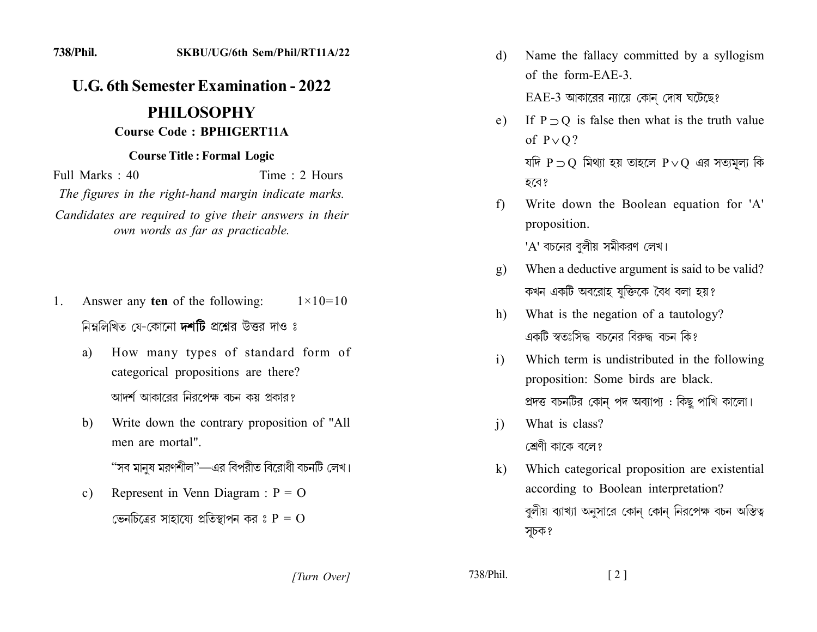## **U.G. 6th Semester Examination - 2022**

## **PHILOSOPHY Course Code: BPHIGERT11A**

## **Course Title: Formal Logic**

Full Marks  $\cdot$  40 Time  $\cdot$  2 Hours The figures in the right-hand margin indicate marks. Candidates are required to give their answers in their own words as far as practicable.

- Answer any ten of the following: 1.  $1 \times 10 = 10$ নিম্নলিখিত যে-কোনো **দশটি** প্রশ্নের উত্তর দাও ঃ
	- How many types of standard form of a) categorical propositions are there? আদর্শ আকারের নিরপেক্ষ বচন কয় প্রকার?
	- Write down the contrary proposition of "All b) men are mortal"

"সব মানুষ মরণশীল"—এর বিপরীত বিরোধী বচনটি লেখ।

Represent in Venn Diagram :  $P = O$  $c)$ 

ভেনচিত্রের সাহায্যে প্রতিস্থাপন কর ঃ  $P = O$ 

Name the fallacy committed by a syllogism d) of the form-EAE-3

 $EAE-3$  আকারের ন্যায়ে কোন দোষ ঘটেছে?

- If  $P \supset O$  is false then what is the truth value  $e)$ of  $P \vee Q$ ? যদি  $P \supset O$  মিথ্যা হয় তাহলে  $P \vee O$  এর সত্যমূল্য কি হবে?
- Write down the Boolean equation for 'A'  $f$ proposition.

'A' বচনের বুলীয় সমীকরণ লেখ।

- When a deductive argument is said to be valid?  $g)$ কখন একটি অবরোহ যুক্তিকে বৈধ বলা হয়?
- What is the negation of a tautology? h) একটি স্বতঃসিদ্ধ বচনের বিরুদ্ধ বচন কি?
- Which term is undistributed in the following  $i)$ proposition: Some birds are black. প্রদত্ত বচনটির কোন পদ অব্যাপ্য : কিছু পাখি কালো।
- What is class?  $\mathbf{i}$ শ্রেণী কাকে বলে?
- Which categorical proposition are existential  $k)$ according to Boolean interpretation? বুলীয় ব্যাখ্যা অনুসারে কোন কোন নিরপেক্ষ বচন অস্তিত্ব সূচক?

738/Phil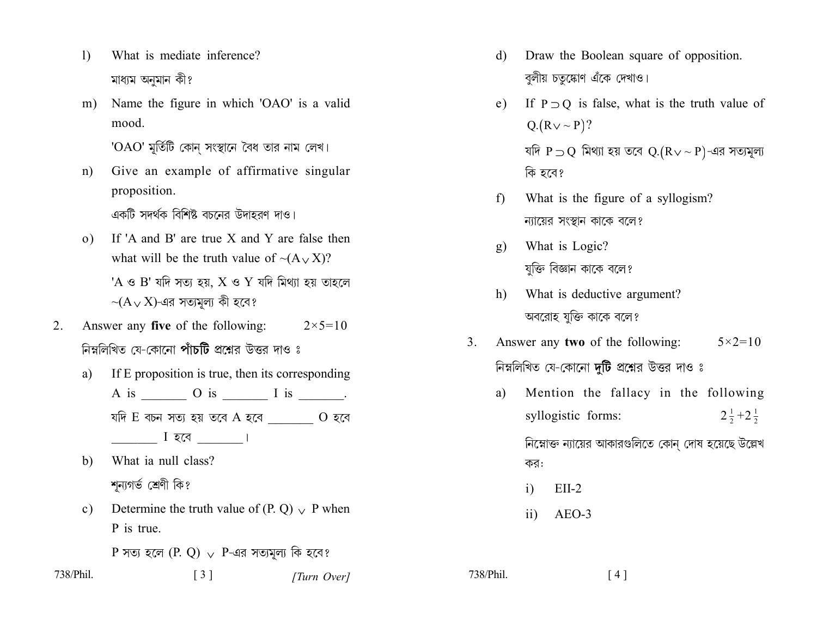- What is mediate inference?  $\left| \right|$ মাধ্যম অনুমান কী?
- Name the figure in which 'OAO' is a valid  $m)$ mood.

'OAO' মুর্তিটি কোন সংস্থানে বৈধ তার নাম লেখ।

Give an example of affirmative singular  $n)$ proposition.

একটি সদর্থক বিশিষ্ট বচনের উদাহরণ দাও।

- If 'A and B' are true X and Y are false then  $\Omega$ ) what will be the truth value of  $\sim(A \vee X)$ ? 'A ও B' যদি সত্য হয়,  $X$  ও Y যদি মিথ্যা হয় তাহলে  $\sim(A \vee X)$ -এর সত্যমূল্য কী হবে?
- Answer any **five** of the following:  $2<sub>1</sub>$  $2 \times 5 = 10$ নিম্নলিখিত যে-কোনো **পাঁচটি** প্রশ্নের উত্তর দাও ঃ
	- If E proposition is true, then its corresponding a) যদি E বচন সত্য হয় তবে A হবে $\qquad \qquad$  O হবে  $\frac{1}{1}$  । হবে  $\frac{1}{1}$
	- What ia null class? b) শন্যগৰ্ভ শ্ৰেণী কি?
	- Determine the truth value of (P. Q)  $\vee$  P when  $c)$ P is true.
		- P সত্য হলে  $(P, Q)$   $\vee$  P-এর সত্যমূল্য কি হবে?
- 738/Phil.

 $\lceil 3 \rceil$ [Turn Over]

- Draw the Boolean square of opposition. d) বুলীয় চতুষ্কোণ এঁকে দেখাও।
- If  $P \supset Q$  is false, what is the truth value of  $e)$  $Q(Rv \sim P)?$ যদি  $P \supset Q$  মিথ্যা হয় তবে  $Q.(R \vee \sim P)$ -এর সত্যমূল্য কি হবে?
- What is the figure of a syllogism?  $f$ ন্যায়ের সংস্থান কাকে বলে?
- What is Logic?  $g)$ যুক্তি বিজ্ঞান কাকে বলে?
- What is deductive argument?  $h$ ) অবরোহ যুক্তি কাকে বলে?
- Answer any two of the following:  $5 \times 2 = 10$  $3<sub>1</sub>$ নিম্নলিখিত যে-কোনো **দুটি** প্রশ্নের উত্তর দাও ঃ
	- Mention the fallacy in the following a) syllogistic forms:  $2\frac{1}{2}+2\frac{1}{2}$ নিম্নোক্ত ন্যায়ের আকারগুলিতে কোন্ দোষ হয়েছে উল্লেখ

কর:

- $EII-2$  $\mathbf{i}$
- AEO-3  $\overline{11}$

738/Phil.  $[4]$